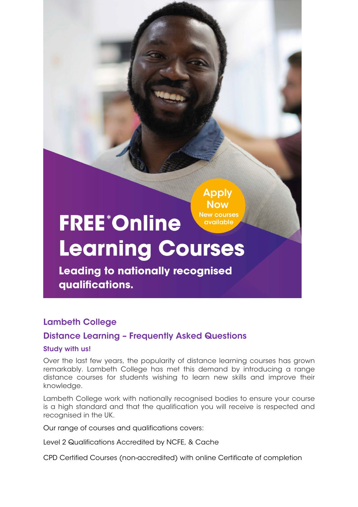# **New courses FREE**\*Online available **Learning Courses**

**Leading to nationally recognised** qualifications.

# Lambeth College

# Distance Learning – Frequently Asked Questions

## Study with us!

Over the last few years, the popularity of distance learning courses has grown remarkably. Lambeth College has met this demand by introducing a range distance courses for students wishing to learn new skills and improve their knowledge.

**Apply Now** 

Lambeth College work with nationally recognised bodies to ensure your course is a high standard and that the qualification you will receive is respected and recognised in the UK.

Our range of courses and qualifications covers:

Level 2 Qualifications Accredited by NCFE, & Cache

CPD Certified Courses (non-accredited) with online Certificate of completion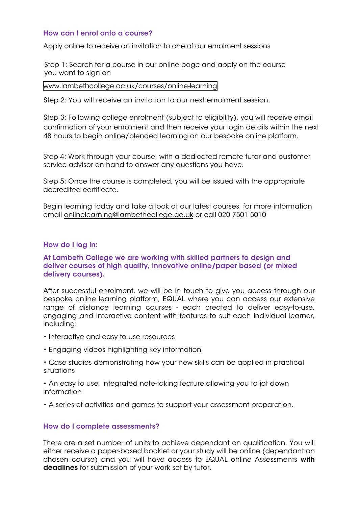## How can I enrol onto a course?

Apply online to receive an invitation to one of our enrolment sessions

Step 1: Search for a course in our online page and apply on the course you want to sign on

[www.lambethcollege.ac.uk/courses/online-learning](https://www.lambethcollege.ac.uk/courses/online-learning)

Step 2: You will receive an invitation to our next enrolment session.

Step 3: Following college enrolment (subject to eligibility), you will receive email confirmation of your enrolment and then receive your login details within the next 48 hours to begin online/blended learning on our bespoke online platform.

Step 4: Work through your course, with a dedicated remote tutor and customer service advisor on hand to answer any questions you have.

Step 5: Once the course is completed, you will be issued with the appropriate accredited certificate.

Begin learning today and take a look at our latest courses, for more information email onlinelearning@lambethcollege.ac.uk or call 020 7501 5010

## How do I log in:

#### At Lambeth College we are working with skilled partners to design and deliver courses of high quality, innovative online/paper based (or mixed delivery courses).

After successful enrolment, we will be in touch to give you access through our bespoke online learning platform, EQUAL where you can access our extensive range of distance learning courses - each created to deliver easy-to-use, engaging and interactive content with features to suit each individual learner, including:

- Interactive and easy to use resources
- Engaging videos highlighting key information
- Case studies demonstrating how your new skills can be applied in practical situations
- An easy to use, integrated note-taking feature allowing you to jot down information
- A series of activities and games to support your assessment preparation.

## How do I complete assessments?

There are a set number of units to achieve dependant on qualification. You will either receive a paper-based booklet or your study will be online (dependant on chosen course) and you will have access to EQUAL online Assessments with deadlines for submission of your work set by tutor.